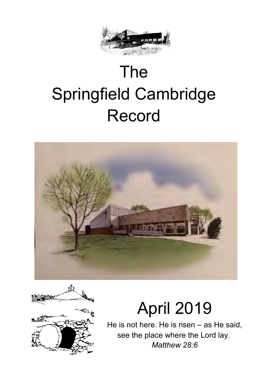

# The Springfield Cambridge Record





# April 2019

He is not here. He is risen – as He said, see the place where the Lord lay. *Matthew 28:6*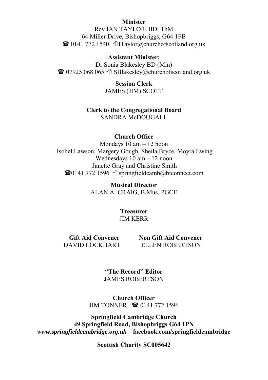#### **Minister**

Rev IAN TAYLOR, BD, ThM 64 Miller Drive, Bishopbriggs, G64 1FB  $\bullet$  0141 772 1540  $\bullet$  Taylor@churchofscotland.org.uk

#### **Assistant Minister:**

Dr Sonia Blakesley BD (Min)  $\bullet$  07925 068 065  $\circ$  SBlakesley@churchofscotland.org.uk

> **Session Clerk**  JAMES (JIM) SCOTT

#### **Clerk to the Congregational Board**

SANDRA McDOUGALL

#### **Church Office**

Mondays 10 am – 12 noon Isobel Lawson, Margery Gough, Sheila Bryce, Moyra Ewing Wednesdays 10 am – 12 noon Janette Gray and Christine Smith  $\bullet$  0141 772 1596  $\circ$  springfieldcamb@btconnect.com

> **Musical Director**  ALAN A. CRAIG, B.Mus, PGCE

> > **Treasurer**  JIM KERR

**Gift Aid Convener** 

 **Non Gift Aid Convener** ELLEN ROBERTSON DAVID LOCKHART

> **"The Record" Editor** JAMES ROBERTSON

**Church Officer** JIM TONNER **<b>a** 0141 772 1596

**Springfield Cambridge Church 49 Springfield Road, Bishopbriggs G64 1PN** *www.springfieldcambridge.org.uk* **facebook.com/springfieldcambridge**

**Scottish Charity SC005642**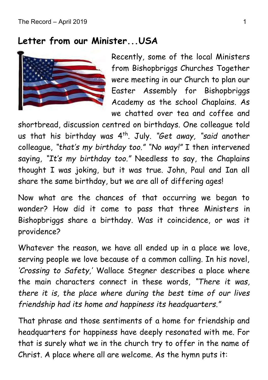#### **Letter from our Minister...USA**



Recently, some of the local Ministers from Bishopbriggs Churches Together were meeting in our Church to plan our Easter Assembly for Bishopbriggs Academy as the school Chaplains. As we chatted over tea and coffee and

shortbread, discussion centred on birthdays. One colleague told us that his birthday was 4th. July. *"Get away, "said* another colleague, *"that's my birthday too." "No way!"* I then intervened saying, *"It's my birthday too."* Needless to say, the Chaplains thought I was joking, but it was true. John, Paul and Ian all share the same birthday, but we are all of differing ages!

Now what are the chances of that occurring we began to wonder? How did it come to pass that three Ministers in Bishopbriggs share a birthday. Was it coincidence, or was it providence?

Whatever the reason, we have all ended up in a place we love, serving people we love because of a common calling. In his novel, *'Crossing to Safety,'* Wallace Stegner describes a place where the main characters connect in these words, *"There it was, there it is, the place where during the best time of our lives friendship had its home and happiness its headquarters."*

That phrase and those sentiments of a home for friendship and headquarters for happiness have deeply resonated with me. For that is surely what we in the church try to offer in the name of Christ. A place where all are welcome. As the hymn puts it: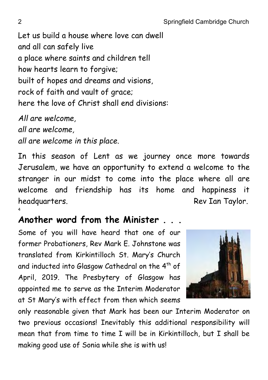Let us build a house where love can dwell and all can safely live a place where saints and children tell how hearts learn to forgive; built of hopes and dreams and visions, rock of faith and vault of grace; here the love of Christ shall end divisions:

*All are welcome, all are welcome, all are welcome in this place.*

In this season of Lent as we journey once more towards Jerusalem, we have an opportunity to extend a welcome to the stranger in our midst to come into the place where all are welcome and friendship has its home and happiness it headquarters. The contract of the Rev Ian Taylor. 4

## **Another word from the Minister . . .**

Some of you will have heard that one of our former Probationers, Rev Mark E. Johnstone was translated from Kirkintilloch St. Mary's Church and inducted into Glasgow Cathedral on the  $4^{\text{th}}$  of April, 2019. The Presbytery of Glasgow has appointed me to serve as the Interim Moderator at St Mary's with effect from then which seems



only reasonable given that Mark has been our Interim Moderator on two previous occasions! Inevitably this additional responsibility will mean that from time to time I will be in Kirkintilloch, but I shall be making good use of Sonia while she is with us!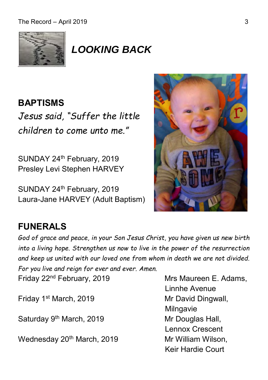

## *LOOKING BACK*

## **BAPTISMS**

*Jesus said, "Suffer the little children to come unto me."*

SUNDAY 24<sup>th</sup> February, 2019 Presley Levi Stephen HARVEY

SUNDAY 24<sup>th</sup> February, 2019 Laura-Jane HARVEY (Adult Baptism)



## **FUNERALS**

*God of grace and peace, in your Son Jesus Christ, you have given us new birth into a living hope. Strengthen us now to live in the power of the resurrection and keep us united with our loved one from whom in death we are not divided.* 

*For you live and reign for ever and ever. Amen.* Friday 22<sup>nd</sup> February, 2019

Friday 1<sup>st</sup> March, 2019 Mr David Dingwall,

Saturday 9<sup>th</sup> March, 2019 Mr Douglas Hall,

Wednesday 20<sup>th</sup> March, 2019 Mr William Wilson,

Mrs Maureen E. Adams, Linnhe Avenue Milngavie Lennox Crescent Keir Hardie Court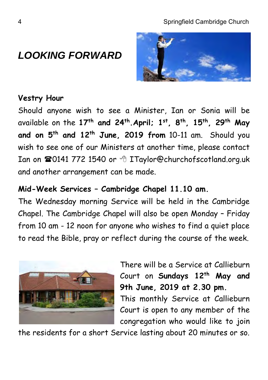## *LOOKING FORWARD*



#### **Vestry Hour**

Should anyone wish to see a Minister, Ian or Sonia will be available on the **17th and 24th .April; 1 st , 8 th , 15th , 29th May and on 5 th and 12th June, 2019 from** 10-11 am. Should you wish to see one of our Ministers at another time, please contact Ian on **20141 772 1540 or <sup>8</sup> ITaylor@churchofscotland.org.uk** and another arrangement can be made.

#### **Mid-Week Services – Cambridge Chapel 11.10 am.**

The Wednesday morning Service will be held in the Cambridge Chapel. The Cambridge Chapel will also be open Monday – Friday from 10 am - 12 noon for anyone who wishes to find a quiet place to read the Bible, pray or reflect during the course of the week.



There will be a Service at Callieburn Court on **Sundays 12th May and 9th June, 2019 at 2.30 pm.** 

This monthly Service at Callieburn Court is open to any member of the congregation who would like to join

the residents for a short Service lasting about 20 minutes or so.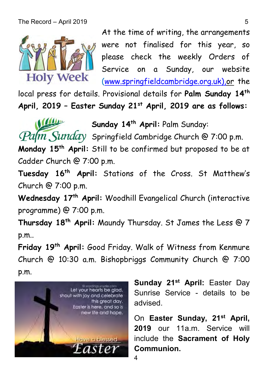

W

At the time of writing, the arrangements were not finalised for this year, so please check the weekly Orders of Service on a Sunday, our website [\(www.springfieldcambridge.org.uk\),or](http://www.springfieldcambridge.org.uk),or/) the

local press for details. Provisional details for **Palm Sunday 14th April, 2019 – Easter Sunday 21st April, 2019 are as follows:**

**Sunday 14th April:** Palm Sunday:

 $Palm$ , Sunday Springfield Cambridge Church @ 7:00 p.m.

**Monday 15 th April:** Still to be confirmed but proposed to be at Cadder Church @ 7:00 p.m.

**Tuesday 16th April:** Stations of the Cross. St Matthew's Church @ 7:00 p.m.

**Wednesday 17 th April:** Woodhill Evangelical Church (interactive programme) @ 7:00 p.m.

**Thursday 18 th April:** Maundy Thursday. St James the Less @ 7 p.m..

**Friday 19 th April:** Good Friday. Walk of Witness from Kenmure Church @ 10:30 a.m. Bishopbriggs Community Church @ 7:00 p.m.



**Sunday 21st April:** Easter Day Sunrise Service - details to be advised.

On **Easter Sunday, 21st April, 2019** our 11a.m. Service will include the **Sacrament of Holy Communion.**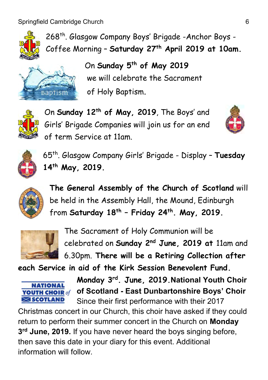Springfield Cambridge Church 6



268th. Glasgow Company Boys' Brigade -Anchor Boys - Coffee Morning – **Saturday 27 th April 2019 at 10am.**



On **Sunday 5th of May 2019** we will celebrate the Sacrament of Holy Baptism.



On **Sunday 12th of May, 2019**, The Boys' and Girls' Brigade Companies will join us for an end of term Service at 11am.





65th. Glasgow Company Girls' Brigade - Display – **Tuesday 14th May, 2019.**



**The General Assembly of the Church of Scotland** will be held in the Assembly Hall, the Mound, Edinburgh from **Saturday 18th – Friday 24th. May, 2019.**



The Sacrament of Holy Communion will be celebrated on **Sunday 2nd June, 2019 at** 11am and 6.30pm. **There will be a Retiring Collection after** 

**each Service in aid of the Kirk Session Benevolent Fund.**



**Monday 3rd. June, 2019.National Youth Choir of Scotland - East Dunbartonshire Boys' Choir** Since their first performance with their 2017

Christmas concert in our Church, this choir have asked if they could return to perform their summer concert in the Church on **Monday 3 rd June, 2019.** If you have never heard the boys singing before, then save this date in your diary for this event. Additional information will follow.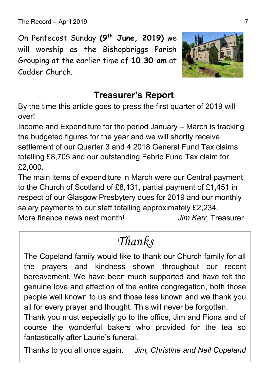The Record – April 2019 7

.

On Pentecost Sunday **(9 th June, 2019)** we will worship as the Bishopbriggs Parish Grouping at the earlier time of **10.30 am** at Cadder Church.



#### **Treasurer's Report**

By the time this article goes to press the first quarter of 2019 will over!

Income and Expenditure for the period January – March is tracking the budgeted figures for the year and we will shortly receive settlement of our Quarter 3 and 4 2018 General Fund Tax claims totalling £8,705 and our outstanding Fabric Fund Tax claim for £2,000.

The main items of expenditure in March were our Central payment to the Church of Scotland of £8,131, partial payment of £1,451 in respect of our Glasgow Presbytery dues for 2019 and our monthly salary payments to our staff totalling approximately £2,234. More finance news next month! *Jim Kerr,* Treasurer

# *Thanks*

The Copeland family would like to thank our Church family for all the prayers and kindness shown throughout our recent bereavement. We have been much supported and have felt the genuine love and affection of the entire congregation, both those people well known to us and those less known and we thank you all for every prayer and thought. This will never be forgotten.

Thank you must especially go to the office, Jim and Fiona and of course the wonderful bakers who provided for the tea so fantastically after Laurie's funeral.

Thanks to you all once again. *Jim, Christine and Neil Copeland*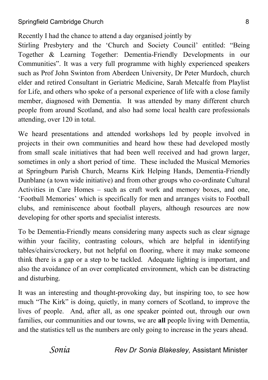Recently I had the chance to attend a day organised jointly by

Stirling Presbytery and the 'Church and Society Council' entitled: "Being Together & Learning Together: Dementia-Friendly Developments in our Communities". It was a very full programme with highly experienced speakers such as Prof John Swinton from Aberdeen University, Dr Peter Murdoch, church elder and retired Consultant in Geriatric Medicine, Sarah Metcalfe from Playlist for Life, and others who spoke of a personal experience of life with a close family member, diagnosed with Dementia. It was attended by many different church people from around Scotland, and also had some local health care professionals attending, over 120 in total.

We heard presentations and attended workshops led by people involved in projects in their own communities and heard how these had developed mostly from small scale initiatives that had been well received and had grown larger, sometimes in only a short period of time. These included the Musical Memories at Springburn Parish Church, Mearns Kirk Helping Hands, Dementia-Friendly Dunblane (a town wide initiative) and from other groups who co-ordinate Cultural Activities in Care Homes – such as craft work and memory boxes, and one, 'Football Memories' which is specifically for men and arranges visits to Football clubs, and reminiscence about football players, although resources are now developing for other sports and specialist interests.

To be Dementia-Friendly means considering many aspects such as clear signage within your facility, contrasting colours, which are helpful in identifying tables/chairs/crockery, but not helpful on flooring, where it may make someone think there is a gap or a step to be tackled. Adequate lighting is important, and also the avoidance of an over complicated environment, which can be distracting and disturbing.

It was an interesting and thought-provoking day, but inspiring too, to see how much "The Kirk" is doing, quietly, in many corners of Scotland, to improve the lives of people. And, after all, as one speaker pointed out, through our own families, our communities and our towns, we are **all** people living with Dementia, and the statistics tell us the numbers are only going to increase in the years ahead.

*Sonia Rev Dr Sonia Blakesley,* Assistant Minister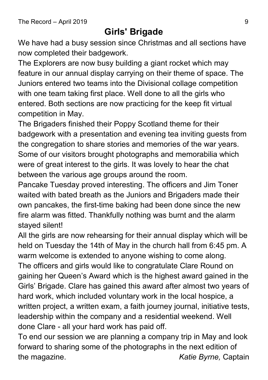#### **Girls' Brigade**

We have had a busy session since Christmas and all sections have now completed their badgework.

The Explorers are now busy building a giant rocket which may feature in our annual display carrying on their theme of space. The Juniors entered two teams into the Divisional collage competition with one team taking first place. Well done to all the girls who entered. Both sections are now practicing for the keep fit virtual competition in May.

The Brigaders finished their Poppy Scotland theme for their badgework with a presentation and evening tea inviting guests from the congregation to share stories and memories of the war years. Some of our visitors brought photographs and memorabilia which were of great interest to the girls. It was lovely to hear the chat between the various age groups around the room.

Pancake Tuesday proved interesting. The officers and Jim Toner waited with bated breath as the Juniors and Brigaders made their own pancakes, the first-time baking had been done since the new fire alarm was fitted. Thankfully nothing was burnt and the alarm stayed silent!

All the girls are now rehearsing for their annual display which will be held on Tuesday the 14th of May in the church hall from 6:45 pm. A warm welcome is extended to anyone wishing to come along. The officers and girls would like to congratulate Clare Round on gaining her Queen's Award which is the highest award gained in the Girls' Brigade. Clare has gained this award after almost two years of hard work, which included voluntary work in the local hospice, a written project, a written exam, a faith journey journal, initiative tests, leadership within the company and a residential weekend. Well done Clare - all your hard work has paid off.

To end our session we are planning a company trip in May and look forward to sharing some of the photographs in the next edition of the magazine. *Katie Byrne,* Captain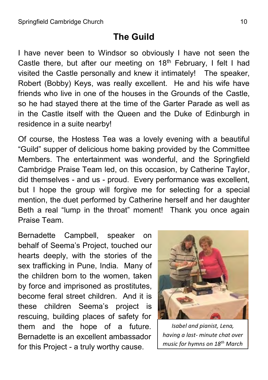#### **The Guild**

I have never been to Windsor so obviously I have not seen the Castle there, but after our meeting on  $18<sup>th</sup>$  February, I felt I had visited the Castle personally and knew it intimately! The speaker, Robert (Bobby) Keys, was really excellent. He and his wife have friends who live in one of the houses in the Grounds of the Castle, so he had stayed there at the time of the Garter Parade as well as in the Castle itself with the Queen and the Duke of Edinburgh in residence in a suite nearby!

Of course, the Hostess Tea was a lovely evening with a beautiful "Guild" supper of delicious home baking provided by the Committee Members. The entertainment was wonderful, and the Springfield Cambridge Praise Team led, on this occasion, by Catherine Taylor, did themselves - and us - proud. Every performance was excellent, but I hope the group will forgive me for selecting for a special mention, the duet performed by Catherine herself and her daughter Beth a real "lump in the throat" moment! Thank you once again Praise Team.

Bernadette Campbell, speaker on behalf of Seema's Project, touched our hearts deeply, with the stories of the sex trafficking in Pune, India. Many of the children born to the women, taken by force and imprisoned as prostitutes, become feral street children. And it is these children Seema's project is rescuing, building places of safety for them and the hope of a future. Bernadette is an excellent ambassador for this Project - a truly worthy cause.



*Isabel and pianist, Lena, having a last- minute chat over music for hymns on 18th March*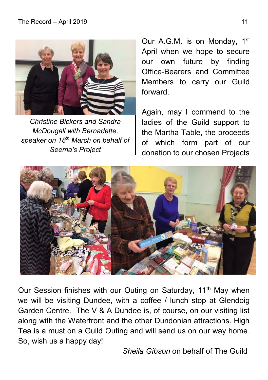

*Christine Bickers and Sandra McDougall with Bernadette, speaker on 18th March on behalf of Seema's Project*

Our A.G.M. is on Monday, 1<sup>st</sup> April when we hope to secure our own future by finding Office-Bearers and Committee Members to carry our Guild forward.

Again, may I commend to the ladies of the Guild support to the Martha Table, the proceeds of which form part of our donation to our chosen Projects



Our Session finishes with our Outing on Saturday, 11<sup>th</sup> May when we will be visiting Dundee, with a coffee / lunch stop at Glendoig Garden Centre. The V & A Dundee is, of course, on our visiting list along with the Waterfront and the other Dundonian attractions. High Tea is a must on a Guild Outing and will send us on our way home. So, wish us a happy day!

 *Sheila Gibson* on behalf of The Guild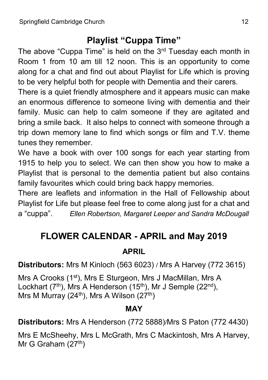### **Playlist "Cuppa Time"**

The above "Cuppa Time" is held on the 3rd Tuesday each month in Room 1 from 10 am till 12 noon. This is an opportunity to come along for a chat and find out about Playlist for Life which is proving to be very helpful both for people with Dementia and their carers.

There is a quiet friendly atmosphere and it appears music can make an enormous difference to someone living with dementia and their family. Music can help to calm someone if they are agitated and bring a smile back. It also helps to connect with someone through a trip down memory lane to find which songs or film and T.V. theme tunes they remember.

We have a book with over 100 songs for each year starting from 1915 to help you to select. We can then show you how to make a Playlist that is personal to the dementia patient but also contains family favourites which could bring back happy memories.

There are leaflets and information in the Hall of Fellowship about Playlist for Life but please feel free to come along just for a chat and a "cuppa". *Ellen Robertson, Margaret Leeper and Sandra McDougall*

## **FLOWER CALENDAR - APRIL and May 2019**

#### **APRIL**

**Distributors:** Mrs M Kinloch (563 6023) / Mrs A Harvey (772 3615)

Mrs A Crooks (1<sup>st</sup>), Mrs E Sturgeon, Mrs J MacMillan, Mrs A Lockhart  $(7<sup>th</sup>)$ , Mrs A Henderson  $(15<sup>th</sup>)$ , Mr J Semple  $(22<sup>nd</sup>)$ , Mrs M Murray (24<sup>th</sup>), Mrs A Wilson (27<sup>th</sup>)

#### **MAY**

**Distributors:** Mrs A Henderson (772 5888)/Mrs S Paton (772 4430)

Mrs E McSheehy, Mrs L McGrath, Mrs C Mackintosh, Mrs A Harvey, Mr G Graham  $(27<sup>th</sup>)$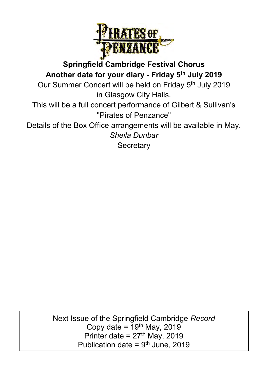

**Springfield Cambridge Festival Chorus Another date for your diary - Friday 5 th July 2019** Our Summer Concert will be held on Friday 5<sup>th</sup> July 2019 in Glasgow City Halls. This will be a full concert performance of Gilbert & Sullivan's "Pirates of Penzance" Details of the Box Office arrangements will be available in May. *Sheila Dunbar* **Secretary** 

> e of the Springfield Cambrid<br>Copy date = 19<sup>th</sup> May, 2019 Publication date =  $9<sup>th</sup>$  June, 2019 Next Issue of the Springfield Cambridge *Record* Printer date =  $27<sup>th</sup>$  May, 2019